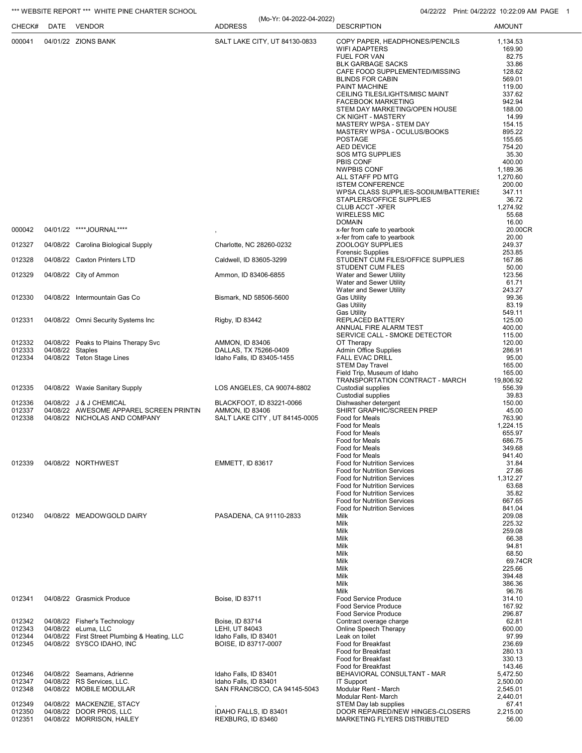## \*\*\* WEBSITE REPORT \*\*\* WHITE PINE CHARTER SCHOOL **04/22/22 Print: 04/22/22 10:22:09 AM PAGE 1**

| CHECK#           |                  | DATE VENDOR                                              | (Mo-Yr: 04-2022-04-2022)<br><b>ADDRESS</b>      | <b>DESCRIPTION</b>                                                       | <b>AMOUNT</b>        |
|------------------|------------------|----------------------------------------------------------|-------------------------------------------------|--------------------------------------------------------------------------|----------------------|
| 000041           |                  | 04/01/22 ZIONS BANK                                      | SALT LAKE CITY, UT 84130-0833                   | COPY PAPER, HEADPHONES/PENCILS                                           | 1,134.53             |
|                  |                  |                                                          |                                                 | <b>WIFI ADAPTERS</b>                                                     | 169.90               |
|                  |                  |                                                          |                                                 | FUEL FOR VAN<br><b>BLK GARBAGE SACKS</b>                                 | 82.75<br>33.86       |
|                  |                  |                                                          |                                                 | CAFE FOOD SUPPLEMENTED/MISSING                                           | 128.62               |
|                  |                  |                                                          |                                                 | <b>BLINDS FOR CABIN</b>                                                  | 569.01               |
|                  |                  |                                                          |                                                 | PAINT MACHINE<br>CEILING TILES/LIGHTS/MISC MAINT                         | 119.00<br>337.62     |
|                  |                  |                                                          |                                                 | <b>FACEBOOK MARKETING</b>                                                | 942.94               |
|                  |                  |                                                          |                                                 | STEM DAY MARKETING/OPEN HOUSE<br><b>CK NIGHT - MASTERY</b>               | 188.00<br>14.99      |
|                  |                  |                                                          |                                                 | MASTERY WPSA - STEM DAY                                                  | 154.15               |
|                  |                  |                                                          |                                                 | MASTERY WPSA - OCULUS/BOOKS                                              | 895.22               |
|                  |                  |                                                          |                                                 | <b>POSTAGE</b><br><b>AED DEVICE</b>                                      | 155.65<br>754.20     |
|                  |                  |                                                          |                                                 | <b>SOS MTG SUPPLIES</b>                                                  | 35.30                |
|                  |                  |                                                          |                                                 | PBIS CONF<br><b>NWPBIS CONF</b>                                          | 400.00<br>1,189.36   |
|                  |                  |                                                          |                                                 | ALL STAFF PD MTG                                                         | 1,270.60             |
|                  |                  |                                                          |                                                 | <b>ISTEM CONFERENCE</b>                                                  | 200.00<br>347.11     |
|                  |                  |                                                          |                                                 | WPSA CLASS SUPPLIES-SODIUM/BATTERIES<br>STAPLERS/OFFICE SUPPLIES         | 36.72                |
|                  |                  |                                                          |                                                 | <b>CLUB ACCT -XFER</b>                                                   | 1,274.92             |
|                  |                  |                                                          |                                                 | <b>WIRELESS MIC</b><br><b>DOMAIN</b>                                     | 55.68<br>16.00       |
| 000042           |                  | 04/01/22 ****JOURNAL****                                 |                                                 | x-fer from cafe to yearbook                                              | 20.00CR              |
|                  |                  |                                                          |                                                 | x-fer from cafe to yearbook                                              | 20.00                |
| 012327           |                  | 04/08/22 Carolina Biological Supply                      | Charlotte, NC 28260-0232                        | ZOOLOGY SUPPLIES<br><b>Forensic Supplies</b>                             | 249.37<br>253.85     |
| 012328           |                  | 04/08/22 Caxton Printers LTD                             | Caldwell, ID 83605-3299                         | STUDENT CUM FILES/OFFICE SUPPLIES                                        | 167.86               |
| 012329           |                  | 04/08/22 City of Ammon                                   | Ammon, ID 83406-6855                            | <b>STUDENT CUM FILES</b><br>Water and Sewer Utility                      | 50.00<br>123.56      |
|                  |                  |                                                          |                                                 | Water and Sewer Utility                                                  | 61.71                |
|                  |                  |                                                          |                                                 | Water and Sewer Utility                                                  | 243.27               |
| 012330           |                  | 04/08/22 Intermountain Gas Co                            | Bismark, ND 58506-5600                          | <b>Gas Utility</b><br><b>Gas Utility</b>                                 | 99.36<br>83.19       |
|                  |                  |                                                          |                                                 | <b>Gas Utility</b>                                                       | 549.11               |
| 012331           |                  | 04/08/22 Omni Security Systems Inc                       | Rigby, ID 83442                                 | REPLACED BATTERY<br>ANNUAL FIRE ALARM TEST                               | 125.00<br>400.00     |
|                  |                  |                                                          |                                                 | SERVICE CALL - SMOKE DETECTOR                                            | 115.00               |
| 012332<br>012333 | 04/08/22 Staples | 04/08/22 Peaks to Plains Therapy Svc                     | <b>AMMON, ID 83406</b><br>DALLAS, TX 75266-0409 | OT Therapy<br><b>Admin Office Supplies</b>                               | 120.00<br>286.91     |
| 012334           |                  | 04/08/22 Teton Stage Lines                               | Idaho Falls, ID 83405-1455                      | <b>FALL EVAC DRILL</b>                                                   | 95.00                |
|                  |                  |                                                          |                                                 | <b>STEM Day Travel</b>                                                   | 165.00               |
|                  |                  |                                                          |                                                 | Field Trip, Museum of Idaho<br>TRANSPORTATION CONTRACT - MARCH           | 165.00<br>19,806.92  |
| 012335           |                  | 04/08/22 Waxie Sanitary Supply                           | LOS ANGELES, CA 90074-8802                      | Custodial supplies                                                       | 556.39               |
| 012336           |                  | 04/08/22 J & J CHEMICAL                                  | BLACKFOOT, ID 83221-0066                        | <b>Custodial supplies</b><br>Dishwasher detergent                        | 39.83<br>150.00      |
| 012337           |                  | 04/08/22 AWESOME APPAREL SCREEN PRINTIN                  | <b>AMMON, ID 83406</b>                          | SHIRT GRAPHIC/SCREEN PREP                                                | 45.00                |
| 012338           |                  | 04/08/22 NICHOLAS AND COMPANY                            | SALT LAKE CITY, UT 84145-0005                   | Food for Meals<br>Food for Meals                                         | 763.90               |
|                  |                  |                                                          |                                                 | Food for Meals                                                           | 1,224.15<br>655.97   |
|                  |                  |                                                          |                                                 | Food for Meals                                                           | 686.75               |
|                  |                  |                                                          |                                                 | Food for Meals<br>Food for Meals                                         | 349.68<br>941.40     |
| 012339           |                  | 04/08/22 NORTHWEST                                       | EMMETT, ID 83617                                | <b>Food for Nutrition Services</b>                                       | 31.84                |
|                  |                  |                                                          |                                                 | <b>Food for Nutrition Services</b><br><b>Food for Nutrition Services</b> | 27.86<br>1,312.27    |
|                  |                  |                                                          |                                                 | <b>Food for Nutrition Services</b>                                       | 63.68                |
|                  |                  |                                                          |                                                 | <b>Food for Nutrition Services</b><br><b>Food for Nutrition Services</b> | 35.82                |
|                  |                  |                                                          |                                                 | <b>Food for Nutrition Services</b>                                       | 667.65<br>841.04     |
| 012340           |                  | 04/08/22 MEADOWGOLD DAIRY                                | PASADENA, CA 91110-2833                         | Milk                                                                     | 209.08               |
|                  |                  |                                                          |                                                 | Milk<br>Milk                                                             | 225.32<br>259.08     |
|                  |                  |                                                          |                                                 | Milk                                                                     | 66.38                |
|                  |                  |                                                          |                                                 | Milk<br>Milk                                                             | 94.81<br>68.50       |
|                  |                  |                                                          |                                                 | Milk                                                                     | 69.74CR              |
|                  |                  |                                                          |                                                 | Milk<br>Milk                                                             | 225.66<br>394.48     |
|                  |                  |                                                          |                                                 | Milk                                                                     | 386.36               |
|                  |                  |                                                          |                                                 | Milk                                                                     | 96.76                |
| 012341           |                  | 04/08/22 Grasmick Produce                                | Boise, ID 83711                                 | <b>Food Service Produce</b><br><b>Food Service Produce</b>               | 314.10<br>167.92     |
|                  |                  |                                                          |                                                 | <b>Food Service Produce</b>                                              | 296.87               |
| 012342<br>012343 |                  | 04/08/22 Fisher's Technology<br>04/08/22 eLuma, LLC      | Boise, ID 83714<br>LEHI, UT 84043               | Contract overage charge<br>Online Speech Therapy                         | 62.81<br>600.00      |
| 012344           |                  | 04/08/22 First Street Plumbing & Heating, LLC            | Idaho Falls, ID 83401                           | Leak on toilet                                                           | 97.99                |
| 012345           |                  | 04/08/22 SYSCO IDAHO, INC                                | BOISE, ID 83717-0007                            | Food for Breakfast                                                       | 236.69               |
|                  |                  |                                                          |                                                 | Food for Breakfast<br>Food for Breakfast                                 | 280.13<br>330.13     |
|                  |                  |                                                          |                                                 | Food for Breakfast                                                       | 143.46               |
| 012346<br>012347 |                  | 04/08/22 Seamans, Adrienne<br>04/08/22 RS Services, LLC. | Idaho Falls, ID 83401<br>Idaho Falls, ID 83401  | BEHAVIORAL CONSULTANT - MAR<br><b>IT Support</b>                         | 5,472.50<br>2,500.00 |
| 012348           |                  | 04/08/22 MOBILE MODULAR                                  | SAN FRANCISCO, CA 94145-5043                    | Modular Rent - March                                                     | 2,545.01             |
|                  |                  |                                                          |                                                 | Modular Rent- March                                                      | 2,440.01             |
| 012349<br>012350 |                  | 04/08/22 MACKENZIE, STACY<br>04/08/22 DOOR PROS, LLC     | IDAHO FALLS, ID 83401                           | STEM Day lab supplies<br>DOOR REPAIRED/NEW HINGES-CLOSERS                | 67.41<br>2,215.00    |
| 012351           |                  | 04/08/22 MORRISON, HAILEY                                | REXBURG, ID 83460                               | MARKETING FLYERS DISTRIBUTED                                             | 56.00                |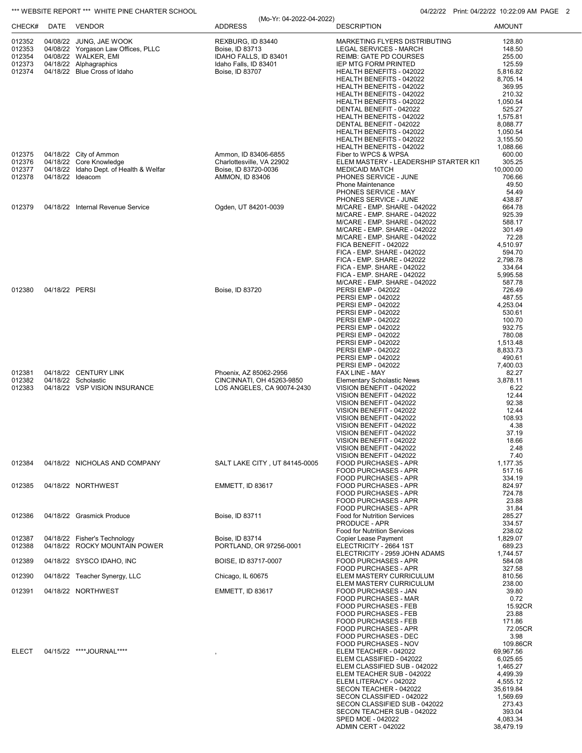|                  |                | *** WEBSITE REPORT *** WHITE PINE CHARTER SCHOOL       |                                                |                                                            | 04/22/22 Print: 04/22/22 10:22:09 AM PAGE 2 |
|------------------|----------------|--------------------------------------------------------|------------------------------------------------|------------------------------------------------------------|---------------------------------------------|
| CHECK#           |                | DATE VENDOR                                            | (Mo-Yr: 04-2022-04-2022)<br><b>ADDRESS</b>     | <b>DESCRIPTION</b>                                         | <b>AMOUNT</b>                               |
| 012352           |                | 04/08/22 JUNG, JAE WOOK                                | REXBURG, ID 83440                              | MARKETING FLYERS DISTRIBUTING                              | 128.80                                      |
| 012353           |                | 04/08/22 Yorgason Law Offices, PLLC                    | Boise, ID 83713                                | LEGAL SERVICES - MARCH                                     | 148.50                                      |
| 012354           |                | 04/08/22 WALKER, EMI                                   | IDAHO FALLS, ID 83401<br>Idaho Falls, ID 83401 | <b>REIMB: GATE PD COURSES</b>                              | 255.00                                      |
| 012373<br>012374 |                | 04/18/22 Alphagraphics<br>04/18/22 Blue Cross of Idaho | Boise, ID 83707                                | <b>IEP MTG FORM PRINTED</b><br>HEALTH BENEFITS - 042022    | 125.59<br>5,816.82                          |
|                  |                |                                                        |                                                | HEALTH BENEFITS - 042022                                   | 8,705.14                                    |
|                  |                |                                                        |                                                | HEALTH BENEFITS - 042022                                   | 369.95                                      |
|                  |                |                                                        |                                                | HEALTH BENEFITS - 042022                                   | 210.32                                      |
|                  |                |                                                        |                                                | HEALTH BENEFITS - 042022<br>DENTAL BENEFIT - 042022        | 1,050.54<br>525.27                          |
|                  |                |                                                        |                                                | HEALTH BENEFITS - 042022                                   | 1,575.81                                    |
|                  |                |                                                        |                                                | DENTAL BENEFIT - 042022                                    | 8,088.77                                    |
|                  |                |                                                        |                                                | HEALTH BENEFITS - 042022                                   | 1,050.54                                    |
|                  |                |                                                        |                                                | HEALTH BENEFITS - 042022                                   | 3,155.50                                    |
| 012375           |                | 04/18/22 City of Ammon                                 | Ammon, ID 83406-6855                           | HEALTH BENEFITS - 042022<br>Fiber to WPCS & WPSA           | 1,088.66<br>600.00                          |
| 012376           |                | 04/18/22 Core Knowledge                                | Charlottesville, VA 22902                      | ELEM MASTERY - LEADERSHIP STARTER KIT                      | 305.25                                      |
| 012377           |                | 04/18/22 Idaho Dept. of Health & Welfar                | Boise, ID 83720-0036                           | <b>MEDICAID MATCH</b>                                      | 10,000.00                                   |
| 012378           |                | 04/18/22 Ideacom                                       | <b>AMMON, ID 83406</b>                         | PHONES SERVICE - JUNE                                      | 706.66                                      |
|                  |                |                                                        |                                                | <b>Phone Maintenance</b><br>PHONES SERVICE - MAY           | 49.50<br>54.49                              |
|                  |                |                                                        |                                                | PHONES SERVICE - JUNE                                      | 438.87                                      |
| 012379           |                | 04/18/22 Internal Revenue Service                      | Ogden, UT 84201-0039                           | M/CARE - EMP. SHARE - 042022                               | 664.78                                      |
|                  |                |                                                        |                                                | M/CARE - EMP. SHARE - 042022                               | 925.39                                      |
|                  |                |                                                        |                                                | M/CARE - EMP. SHARE - 042022                               | 588.17                                      |
|                  |                |                                                        |                                                | M/CARE - EMP. SHARE - 042022                               | 301.49                                      |
|                  |                |                                                        |                                                | M/CARE - EMP. SHARE - 042022<br>FICA BENEFIT - 042022      | 72.28<br>4,510.97                           |
|                  |                |                                                        |                                                | FICA - EMP. SHARE - 042022                                 | 594.70                                      |
|                  |                |                                                        |                                                | FICA - EMP. SHARE - 042022                                 | 2,798.78                                    |
|                  |                |                                                        |                                                | FICA - EMP. SHARE - 042022                                 | 334.64                                      |
|                  |                |                                                        |                                                | FICA - EMP. SHARE - 042022                                 | 5,995.58                                    |
| 012380           | 04/18/22 PERSI |                                                        | Boise, ID 83720                                | M/CARE - EMP. SHARE - 042022<br>PERSI EMP - 042022         | 587.78<br>726.49                            |
|                  |                |                                                        |                                                | PERSI EMP - 042022                                         | 487.55                                      |
|                  |                |                                                        |                                                | <b>PERSI EMP - 042022</b>                                  | 4,253.04                                    |
|                  |                |                                                        |                                                | <b>PERSI EMP - 042022</b>                                  | 530.61                                      |
|                  |                |                                                        |                                                | <b>PERSI EMP - 042022</b><br><b>PERSI EMP - 042022</b>     | 100.70<br>932.75                            |
|                  |                |                                                        |                                                | <b>PERSI EMP - 042022</b>                                  | 780.08                                      |
|                  |                |                                                        |                                                | <b>PERSI EMP - 042022</b>                                  | 1,513.48                                    |
|                  |                |                                                        |                                                | PERSI EMP - 042022                                         | 8,833.73                                    |
|                  |                |                                                        |                                                | <b>PERSI EMP - 042022</b>                                  | 490.61                                      |
| 012381           |                | 04/18/22 CENTURY LINK                                  | Phoenix, AZ 85062-2956                         | <b>PERSI EMP - 042022</b><br>FAX LINE - MAY                | 7,400.03<br>82.27                           |
| 012382           |                | 04/18/22 Scholastic                                    | CINCINNATI, OH 45263-9850                      | <b>Elementary Scholastic News</b>                          | 3,878.11                                    |
| 012383           |                | 04/18/22 VSP VISION INSURANCE                          | LOS ANGELES, CA 90074-2430                     | VISION BENEFIT - 042022                                    | 6.22                                        |
|                  |                |                                                        |                                                | VISION BENEFIT - 042022                                    | 12.44                                       |
|                  |                |                                                        |                                                | VISION BENEFIT - 042022                                    | 92.38                                       |
|                  |                |                                                        |                                                | VISION BENEFIT - 042022                                    | 12.44<br>108.93                             |
|                  |                |                                                        |                                                | VISION BENEFIT - 042022<br>VISION BENEFIT - 042022         | 4.38                                        |
|                  |                |                                                        |                                                | VISION BENEFIT - 042022                                    | 37.19                                       |
|                  |                |                                                        |                                                | VISION BENEFIT - 042022                                    | 18.66                                       |
|                  |                |                                                        |                                                | VISION BENEFIT - 042022                                    | 2.48                                        |
| 012384           |                | 04/18/22 NICHOLAS AND COMPANY                          | SALT LAKE CITY, UT 84145-0005                  | VISION BENEFIT - 042022                                    | 7.40<br>1,177.35                            |
|                  |                |                                                        |                                                | <b>FOOD PURCHASES - APR</b><br><b>FOOD PURCHASES - APR</b> | 517.16                                      |
|                  |                |                                                        |                                                | <b>FOOD PURCHASES - APR</b>                                | 334.19                                      |
| 012385           |                | 04/18/22 NORTHWEST                                     | <b>EMMETT, ID 83617</b>                        | <b>FOOD PURCHASES - APR</b>                                | 824.97                                      |
|                  |                |                                                        |                                                | <b>FOOD PURCHASES - APR</b>                                | 724.78                                      |
|                  |                |                                                        |                                                | <b>FOOD PURCHASES - APR</b><br><b>FOOD PURCHASES - APR</b> | 23.88<br>31.84                              |
| 012386           |                | 04/18/22 Grasmick Produce                              | Boise, ID 83711                                | Food for Nutrition Services                                | 285.27                                      |
|                  |                |                                                        |                                                | <b>PRODUCE - APR</b>                                       | 334.57                                      |
|                  |                |                                                        |                                                | Food for Nutrition Services                                | 238.02                                      |
| 012387           |                | 04/18/22 Fisher's Technology                           | Boise, ID 83714                                | Copier Lease Payment                                       | 1,829.07                                    |
| 012388           |                | 04/18/22 ROCKY MOUNTAIN POWER                          | PORTLAND, OR 97256-0001                        | ELECTRICITY - 2664 1ST<br>ELECTRICITY - 2959 JOHN ADAMS    | 689.23<br>1,744.57                          |
| 012389           |                | 04/18/22 SYSCO IDAHO, INC                              | BOISE, ID 83717-0007                           | <b>FOOD PURCHASES - APR</b>                                | 584.08                                      |
|                  |                |                                                        |                                                | <b>FOOD PURCHASES - APR</b>                                | 327.58                                      |
| 012390           |                | 04/18/22 Teacher Synergy, LLC                          | Chicago, IL 60675                              | ELEM MASTERY CURRICULUM                                    | 810.56                                      |
| 012391           |                | 04/18/22 NORTHWEST                                     | <b>EMMETT, ID 83617</b>                        | ELEM MASTERY CURRICULUM                                    | 238.00<br>39.80                             |
|                  |                |                                                        |                                                | FOOD PURCHASES - JAN<br>FOOD PURCHASES - MAR               | 0.72                                        |
|                  |                |                                                        |                                                | <b>FOOD PURCHASES - FEB</b>                                | 15.92CR                                     |
|                  |                |                                                        |                                                | <b>FOOD PURCHASES - FEB</b>                                | 23.88                                       |
|                  |                |                                                        |                                                | <b>FOOD PURCHASES - FEB</b>                                | 171.86                                      |
|                  |                |                                                        |                                                | <b>FOOD PURCHASES - APR</b>                                | 72.05CR                                     |
|                  |                |                                                        |                                                | FOOD PURCHASES - DEC<br>FOOD PURCHASES - NOV               | 3.98<br>109.86CR                            |
| <b>ELECT</b>     |                | 04/15/22 ****JOURNAL****                               | ,                                              | ELEM TEACHER - 042022                                      | 69,967.56                                   |
|                  |                |                                                        |                                                | ELEM CLASSIFIED - 042022                                   | 6,025.65                                    |
|                  |                |                                                        |                                                | ELEM CLASSIFIED SUB - 042022                               | 1,465.27                                    |
|                  |                |                                                        |                                                | ELEM TEACHER SUB - 042022                                  | 4,499.39                                    |
|                  |                |                                                        |                                                | ELEM LITERACY - 042022<br>SECON TEACHER - 042022           | 4,555.12<br>35,619.84                       |
|                  |                |                                                        |                                                | SECON CLASSIFIED - 042022                                  | 1,569.69                                    |
|                  |                |                                                        |                                                | SECON CLASSIFIED SUB - 042022                              | 273.43                                      |
|                  |                |                                                        |                                                | SECON TEACHER SUB - 042022                                 | 393.04                                      |
|                  |                |                                                        |                                                | SPED MOE - 042022                                          | 4,083.34                                    |
|                  |                |                                                        |                                                | <b>ADMIN CERT - 042022</b>                                 | 38,479.19                                   |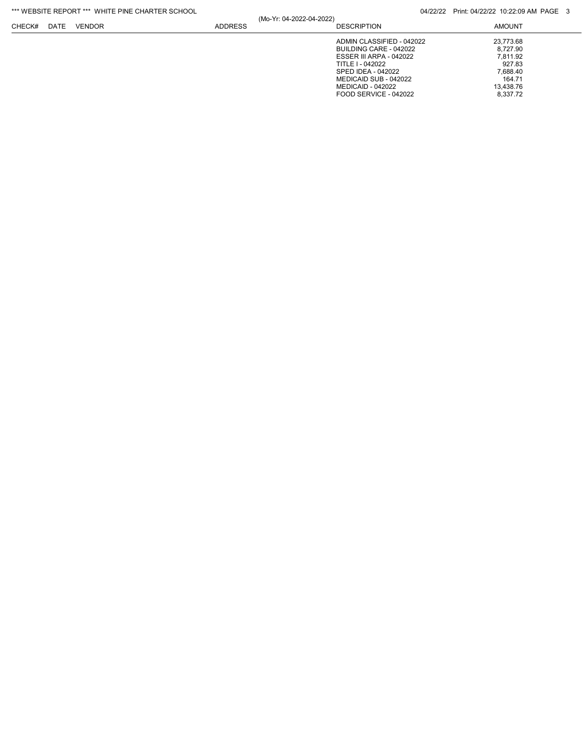| *** WEBSITE REPORT *** WHITE PINE CHARTER SCHOOL |
|--------------------------------------------------|
|--------------------------------------------------|

|        | WLDOILL INLEVINE | WHILE FINE OF PINTEN SOLIOUE |                |                          |                                | $U + (Z)ZZ$ Fille $U + (ZZ)ZZ$ iv. $ZZ$ . $UZ$ AN FAGL |
|--------|------------------|------------------------------|----------------|--------------------------|--------------------------------|--------------------------------------------------------|
| CHECK# | DATE             | VENDOR                       | <b>ADDRESS</b> | (Mo-Yr: 04-2022-04-2022) | <b>DESCRIPTION</b>             | <b>AMOUNT</b>                                          |
|        |                  |                              |                |                          | ADMIN CLASSIFIED - 042022      | 23.773.68                                              |
|        |                  |                              |                |                          | BUILDING CARE - 042022         | 8.727.90                                               |
|        |                  |                              |                |                          | <b>ESSER III ARPA - 042022</b> | 7.811.92                                               |
|        |                  |                              |                |                          | TITLE I - 042022               | 927.83                                                 |
|        |                  |                              |                |                          | SPED IDEA - 042022             | 7.688.40                                               |
|        |                  |                              |                |                          | MEDICAID SUB - 042022          | 164.71                                                 |
|        |                  |                              |                |                          | MEDICAID - 042022              | 13.438.76                                              |
|        |                  |                              |                |                          | FOOD SERVICE - 042022          | 8.337.72                                               |
|        |                  |                              |                |                          |                                |                                                        |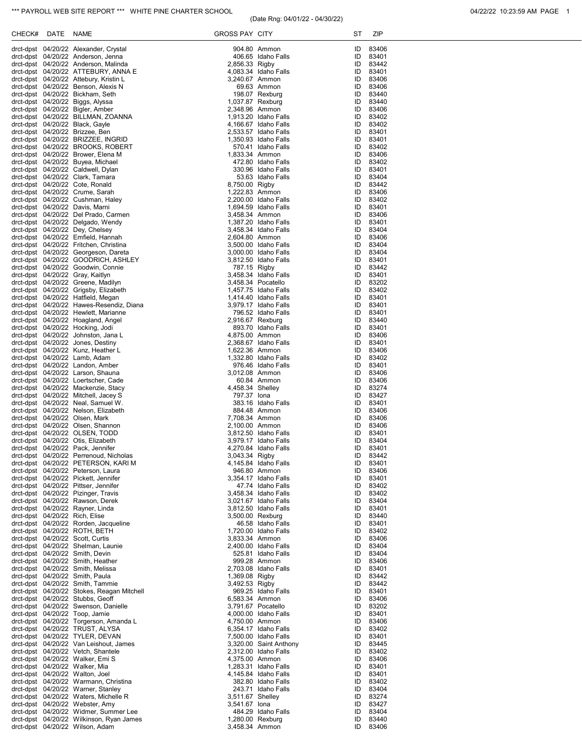## (Date Rng: 04/01/22 - 04/30/22)

| CHECK# DATE | NAME                                                                              | <b>GROSS PAY CITY</b>              |                                                                                                                   | ST       | ZIP                  |
|-------------|-----------------------------------------------------------------------------------|------------------------------------|-------------------------------------------------------------------------------------------------------------------|----------|----------------------|
|             | drct-dpst 04/20/22 Alexander, Crystal                                             |                                    | 904.80 Ammon                                                                                                      | ID       | 83406                |
|             | drct-dpst 04/20/22 Anderson, Jenna                                                |                                    | 406.65 Idaho Falls                                                                                                | ID       | 83401                |
|             | drct-dpst 04/20/22 Anderson, Malinda<br>drct-dpst 04/20/22 ATTEBURY, ANNA E       | 2,856.33 Rigby                     | 4,083.34 Idaho Falls                                                                                              | ID<br>ID | 83442<br>83401       |
|             | drct-dpst 04/20/22 Attebury, Kristin L                                            | 3,240.67 Ammon                     |                                                                                                                   | ID       | 83406                |
|             | drct-dpst 04/20/22 Benson, Alexis N                                               |                                    | 69.63 Ammon                                                                                                       | ID       | 83406                |
|             | drct-dpst 04/20/22 Bickham, Seth                                                  |                                    | 198.07 Rexburg                                                                                                    | ID       | 83440                |
|             | drct-dpst 04/20/22 Biggs, Alyssa                                                  | 1,037.87 Rexburg                   |                                                                                                                   | ID       | 83440                |
|             | drct-dpst 04/20/22 Bigler, Amber<br>drct-dpst 04/20/22 BILLMAN, ZOANNA            | 2,348.96 Ammon                     | 1.913.20 Idaho Falls                                                                                              | ID<br>ID | 83406<br>83402       |
|             | drct-dpst 04/20/22 Black, Gayle                                                   |                                    | 4,166.67 Idaho Falls                                                                                              | ID       | 83402                |
|             | drct-dpst 04/20/22 Brizzee, Ben                                                   |                                    | 2,533.57 Idaho Falls                                                                                              | ID       | 83401                |
|             | drct-dpst 04/20/22 BRIZZEE, INGRID                                                |                                    | 1,350.93 Idaho Falls                                                                                              | ID       | 83401                |
|             | drct-dpst 04/20/22 BROOKS, ROBERT                                                 |                                    | 570.41 Idaho Falls                                                                                                | ID       | 83402                |
|             | drct-dpst 04/20/22 Brower, Elena M<br>drct-dpst 04/20/22 Buyea, Michael           | 1,833.34 Ammon                     | 472.80 Idaho Falls                                                                                                | ID<br>ID | 83406<br>83402       |
|             | drct-dpst 04/20/22 Caldwell, Dylan                                                |                                    | 330.96 Idaho Falls                                                                                                | ID       | 83401                |
|             | drct-dpst 04/20/22 Clark, Tamara                                                  |                                    | 53.63 Idaho Falls                                                                                                 | ID       | 83404                |
|             | drct-dpst 04/20/22 Cote, Ronald                                                   | 8,750.00 Rigby                     |                                                                                                                   | ID       | 83442                |
|             | drct-dpst 04/20/22 Crume, Sarah                                                   | 1,222.83 Ammon                     |                                                                                                                   | ID       | 83406                |
|             | drct-dpst 04/20/22 Cushman, Haley<br>drct-dpst 04/20/22 Davis, Marni              |                                    | 2,200.00 Idaho Falls<br>1,694.59 Idaho Falls                                                                      | ID<br>ID | 83402<br>83401       |
|             | drct-dpst 04/20/22 Del Prado, Carmen                                              | 3,458.34 Ammon                     |                                                                                                                   | ID       | 83406                |
|             | drct-dpst 04/20/22 Delgado, Wendy                                                 |                                    | 1,387.20 Idaho Falls                                                                                              | ID       | 83401                |
|             | drct-dpst 04/20/22 Dey, Chelsey                                                   |                                    | 3,458.34 Idaho Falls                                                                                              | ID       | 83404                |
|             | drct-dpst 04/20/22 Emfield, Hannah                                                | 2,604.80 Ammon                     |                                                                                                                   | ID       | 83406                |
|             | drct-dpst 04/20/22 Fritchen, Christina<br>drct-dpst 04/20/22 Georgeson, Dareta    |                                    | 3,500.00 Idaho Falls<br>3.000.00 Idaho Falls                                                                      | ID<br>ID | 83404                |
|             | drct-dpst 04/20/22 GOODRICH, ASHLEY                                               |                                    | 3,812.50 Idaho Falls                                                                                              | ID       | 83404<br>83401       |
|             | drct-dpst 04/20/22 Goodwin, Connie                                                | 787.15 Rigby                       |                                                                                                                   | ID       | 83442                |
|             | drct-dpst 04/20/22 Gray, Kaitlyn                                                  |                                    | 3,458.34 Idaho Falls                                                                                              | ID       | 83401                |
|             | drct-dpst 04/20/22 Greene, Madilyn                                                |                                    | 3,458.34 Pocatello                                                                                                | ID       | 83202                |
|             | drct-dpst 04/20/22 Grigsby, Elizabeth                                             |                                    | 1,457.75 Idaho Falls                                                                                              | ID       | 83402                |
|             | drct-dpst 04/20/22 Hatfield, Megan<br>drct-dpst 04/20/22 Hawes-Resendiz, Diana    |                                    | 1,414.40 Idaho Falls<br>3,979.17 Idaho Falls                                                                      | ID<br>ID | 83401<br>83401       |
|             | drct-dpst 04/20/22 Hewlett, Marianne                                              |                                    | 796.52 Idaho Falls                                                                                                | ID       | 83401                |
|             | drct-dpst 04/20/22 Hoagland, Angel                                                | 2,916.67 Rexburg                   |                                                                                                                   | ID       | 83440                |
|             | drct-dpst 04/20/22 Hocking, Jodi                                                  |                                    | 893.70 Idaho Falls                                                                                                | ID       | 83401                |
|             | drct-dpst 04/20/22 Johnston, Jana L                                               | 4,875.00 Ammon                     |                                                                                                                   | ID       | 83406                |
|             | drct-dpst 04/20/22 Jones, Destiny                                                 |                                    | 2,368.67 Idaho Falls                                                                                              | ID<br>ID | 83401<br>83406       |
|             | drct-dpst 04/20/22 Kunz, Heather L<br>drct-dpst 04/20/22 Lamb, Adam               | 1,622.36 Ammon                     | 1,332.80 Idaho Falls                                                                                              | ID       | 83402                |
|             | drct-dpst 04/20/22 Landon, Amber                                                  |                                    | 976.46 Idaho Falls                                                                                                | ID       | 83401                |
|             | drct-dpst 04/20/22 Larson, Shauna                                                 | 3,012.08 Ammon                     |                                                                                                                   | ID       | 83406                |
|             | drct-dpst 04/20/22 Loertscher, Cade                                               |                                    | 60.84 Ammon                                                                                                       | ID       | 83406                |
|             | drct-dpst 04/20/22 Mackenzie, Stacy<br>drct-dpst 04/20/22 Mitchell, Jacey S       | 4,458.34 Shelley<br>797.37 lona    |                                                                                                                   | ID<br>ID | 83274<br>83427       |
|             | drct-dpst 04/20/22 Neal, Samuel W.                                                |                                    | 383.16 Idaho Falls                                                                                                | ID       | 83401                |
|             | drct-dpst 04/20/22 Nelson, Elizabeth                                              |                                    | 884.48 Ammon                                                                                                      | ID       | 83406                |
|             | drct-dpst 04/20/22 Olsen, Mark                                                    | 7,708.34 Ammon                     |                                                                                                                   | ID       | 83406                |
|             | drct-dpst 04/20/22 Olsen, Shannon                                                 | 2,100.00 Ammon                     |                                                                                                                   | ID       | 83406                |
|             | drct-dpst 04/20/22 OLSEN, TODD                                                    |                                    | 3,812.50 Idaho Falls<br>3,979.17 Idaho Falls                                                                      | ID<br>ID | 83401                |
|             | drct-dpst 04/20/22 Otis, Elizabeth<br>drct-dpst 04/20/22 Pack, Jennifer           |                                    | 4,270.84 Idaho Falls                                                                                              | ID       | 83404<br>83401       |
|             | drct-dpst 04/20/22 Perrenoud, Nicholas                                            | 3,043.34 Rigby                     |                                                                                                                   |          | ID 83442             |
|             | drct-dpst 04/20/22 PETERSON, KARI M                                               |                                    | 4,145.84 Idaho Falls<br>946.80 Ammon                                                                              |          | ID 83401             |
|             | drct-dpst 04/20/22 Peterson, Laura                                                |                                    |                                                                                                                   |          | ID 83406             |
|             | drct-dpst 04/20/22 Pickett, Jennifer                                              |                                    | 3,354.17 Idaho Falls                                                                                              | ID       | 83401                |
|             | drct-dpst 04/20/22 Pittser, Jennifer<br>drct-dpst 04/20/22 Pizinger, Travis       |                                    | 47.74 Idaho Falls<br>3,458.34 Idaho Falls                                                                         | ID       | 83402<br>ID 83402    |
|             | drct-dpst 04/20/22 Rawson, Derek                                                  |                                    |                                                                                                                   | ID       | 83404                |
|             | drct-dpst 04/20/22 Rayner, Linda                                                  |                                    |                                                                                                                   |          | ID 83401             |
|             | drct-dpst 04/20/22 Rich, Elise                                                    |                                    |                                                                                                                   |          | ID 83440             |
|             | drct-dpst 04/20/22 Rorden, Jacqueline                                             |                                    | 46.58 Idaho Falls<br>1,720.00 Idaho Falls<br>3,833.34 Ammon                                                       |          | ID 83401<br>83402    |
|             | drct-dpst 04/20/22 ROTH, BETH<br>drct-dpst 04/20/22 Scott, Curtis                 |                                    |                                                                                                                   | ID       | ID 83406             |
|             | drct-dpst 04/20/22 Shelman, Launie                                                |                                    |                                                                                                                   |          | ID 83404             |
|             | drct-dpst 04/20/22 Smith, Devin                                                   |                                    | 2,400.00 Idaho Falls<br>525.81 Idaho Falls                                                                        | ID       | 83404                |
|             | drct-dpst 04/20/22 Smith, Heather                                                 |                                    | 999.28 Ammon                                                                                                      |          | ID 83406             |
|             | drct-dpst 04/20/22 Smith, Melissa                                                 |                                    |                                                                                                                   |          | ID 83401             |
|             | drct-dpst 04/20/22 Smith, Paula<br>drct-dpst 04/20/22 Smith, Tammie               |                                    |                                                                                                                   | ID       | 83442<br>ID 83442    |
|             | drct-dpst 04/20/22 Stokes, Reagan Mitchell                                        |                                    | 2,703.08 Idaho Falls<br>1,369.08 Rigby<br>3,492.53 Rigby<br>3,492.53 Rigby<br>969.25 Idaho Falls<br>- 00.21 Ammon |          | ID 83401             |
|             | drct-dpst 04/20/22 Stubbs, Geoff                                                  |                                    | 6,583.34 Ammon                                                                                                    |          | ID 83406             |
|             | drct-dpst 04/20/22 Swenson, Danielle                                              |                                    | 3,791.67 Pocatello                                                                                                |          | ID 83202             |
|             | drct-dpst 04/20/22 Toop, Jamie                                                    |                                    | $3,731.51$ . $-$<br>4,000.00 Idaho Falls                                                                          |          | ID 83401             |
|             | drct-dpst 04/20/22 Torgerson, Amanda L<br>drct-dpst 04/20/22 TRUST, ALYSA         | 4,750.00 Ammon                     | 6,354.17 Idaho Falls                                                                                              | ID       | 83406<br>ID 83402    |
|             | drct-dpst 04/20/22 TYLER, DEVAN                                                   |                                    | 7,500.00 Idaho Falls                                                                                              | ID       | 83401                |
|             | drct-dpst 04/20/22 Van Leishout, James                                            |                                    | 3,320.00 Saint Anthony                                                                                            |          | ID 83445             |
|             | drct-dpst 04/20/22 Vetch, Shantele                                                |                                    | 2,312.00 Idaho Falls                                                                                              |          | ID 83402             |
|             | drct-dpst 04/20/22 Walker, Emi S                                                  | 4,375.00 Ammon                     |                                                                                                                   |          | ID 83406             |
|             | drct-dpst 04/20/22 Walker, Mia                                                    |                                    | 1,283.31 Idaho Falls                                                                                              |          | ID 83401             |
|             | drct-dpst 04/20/22 Walton, Joel<br>drct-dpst 04/20/22 Warmann, Christina          |                                    | $4,145.84$ Idaho Falls<br>382.80 Idaho Falls<br>382.80 Idaho Falls                                                |          | ID 83401<br>ID 83402 |
|             | drct-dpst 04/20/22 Warner, Stanley                                                |                                    | 243.71 Idaho Falls                                                                                                |          | ID 83404             |
|             | drct-dpst 04/20/22 Waters, Michelle R                                             | 3,511.67 Shelley                   |                                                                                                                   |          | ID 83274             |
|             | drct-dpst 04/20/22 Webster, Amy                                                   | 3,541.67 lona                      |                                                                                                                   |          | ID 83427             |
|             | drct-dpst 04/20/22 Widmer, Summer Lee<br>drct-dpst 04/20/22 Wilkinson, Ryan James |                                    | 484.29 Idaho Falls                                                                                                | ID       | ID 83404             |
|             | drct-dpst 04/20/22 Wilson, Adam                                                   | 1,280.00 Rexburg<br>3,458.34 Ammon |                                                                                                                   | ID       | 83440<br>83406       |